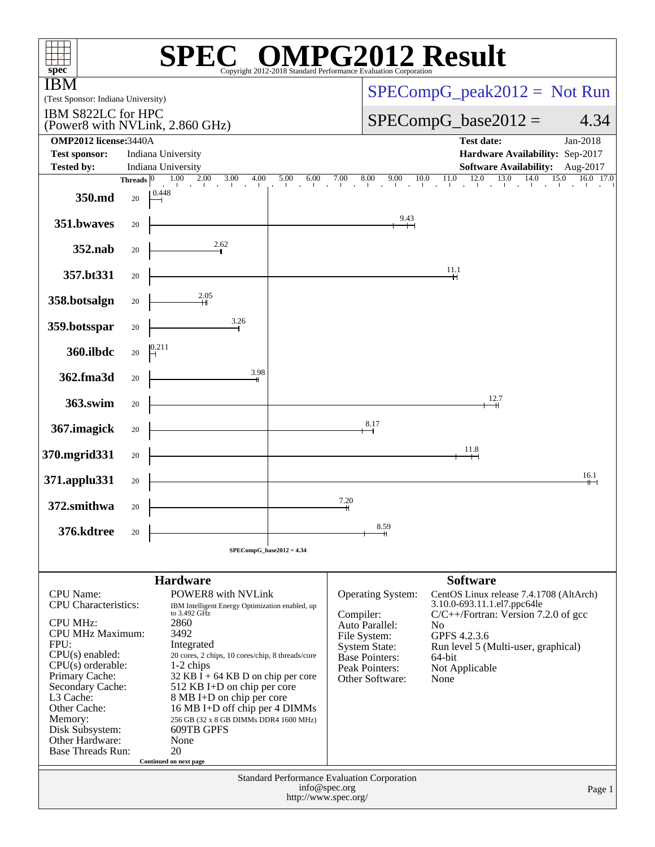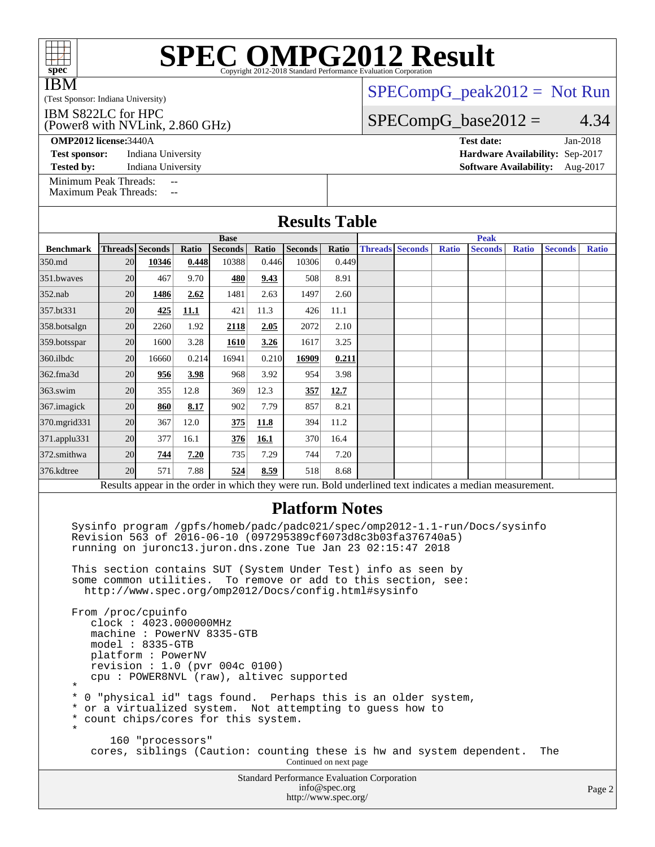|                                         | <b>SPEC OMPG2012 Result</b>                                     |
|-----------------------------------------|-----------------------------------------------------------------|
| ${\rm spec^{\scriptscriptstyle \circ}}$ | Copyright 2012-2018 Standard Performance Evaluation Corporation |

Copyright 2012-2018 Standard Performance Evaluation Corporation

IBM

(Test Sponsor: Indiana University)

### (Power8 with NVLink, 2.860 GHz) IBM S822LC for HPC

[SPECompG\\_peak2012 =](http://www.spec.org/auto/omp2012/Docs/result-fields.html#SPECompGpeak2012) Not Run

## $SPECompG_base2012 = 4.34$  $SPECompG_base2012 = 4.34$

**[OMP2012 license:](http://www.spec.org/auto/omp2012/Docs/result-fields.html#OMP2012license)**3440A **[Test date:](http://www.spec.org/auto/omp2012/Docs/result-fields.html#Testdate)** Jan-2018

**[Test sponsor:](http://www.spec.org/auto/omp2012/Docs/result-fields.html#Testsponsor)** Indiana University **[Hardware Availability:](http://www.spec.org/auto/omp2012/Docs/result-fields.html#HardwareAvailability)** Sep-2017 **[Tested by:](http://www.spec.org/auto/omp2012/Docs/result-fields.html#Testedby)** Indiana University **[Software Availability:](http://www.spec.org/auto/omp2012/Docs/result-fields.html#SoftwareAvailability)** Aug-2017

[Minimum Peak Threads:](http://www.spec.org/auto/omp2012/Docs/result-fields.html#MinimumPeakThreads) --<br>Maximum Peak Threads: --

[Maximum Peak Threads:](http://www.spec.org/auto/omp2012/Docs/result-fields.html#MaximumPeakThreads)

| <b>Base</b><br><b>Peak</b><br><b>Threads Seconds</b><br>Ratio<br><b>Seconds</b><br>Ratio<br><b>Seconds</b><br>Ratio<br><b>Threads Seconds</b><br><b>Ratio</b><br><b>Seconds</b><br><b>Benchmark</b><br><b>Seconds</b><br><b>Ratio</b><br><b>Ratio</b><br>350.md<br>20<br>10388<br>10306<br>0.449<br>10346<br>0.448<br>0.446<br>20<br>9.70<br>480<br>508<br>8.91<br>351.bwayes<br>467<br>9.43<br>1497<br>20<br>1486<br>2.62<br>1481<br>2.63<br>2.60<br>352.nab<br>20<br>425<br>11.1<br>421<br>11.3<br>426<br>11.1<br>357.bt331<br>20<br>2260<br>1.92<br>2118<br>2072<br>2.10<br>358.botsalgn<br>2.05<br>20<br>3.28<br>3.25<br>1600<br><b>1610</b><br>3.26<br>1617<br>359.botsspar<br>0.214<br>20<br>16660<br>16941<br>0.210<br>16909<br>0.211<br>360.ilbdc<br>20<br>956<br>3.98<br>968<br>3.92<br>954<br>3.98<br>362.fma3d<br>363.swim<br>20<br>355<br>12.8<br>369<br>12.3<br>357<br>12.7<br>20<br>8.17<br>902<br>7.79<br>857<br>8.21<br>367. imagick<br>860<br>20<br>367<br>12.0<br>394<br>11.2<br>370.mgrid331<br>375<br>11.8<br>20<br>371.applu331<br>377<br>16.1<br>376<br>16.1<br>370<br>16.4<br>20<br>7.29<br>7.20<br>735<br>744<br>7.20<br>372.smithwa<br>744<br>376.kdtree<br>20<br>7.88<br>524<br>8.59<br>518<br>8.68<br>571<br>Results appear in the order in which they were run. Bold underlined text indicates a median measurement.<br><b>Platform Notes</b><br>Sysinfo program /gpfs/homeb/padc/padc021/spec/omp2012-1.1-run/Docs/sysinfo<br>Revision 563 of 2016-06-10 (097295389cf6073d8c3b03fa376740a5)<br>running on juronc13.juron.dns.zone Tue Jan 23 02:15:47 2018<br>This section contains SUT (System Under Test) info as seen by<br>some common utilities. To remove or add to this section, see:<br>http://www.spec.org/omp2012/Docs/config.html#sysinfo<br>From /proc/cpuinfo<br>clock: 4023.000000MHz<br>machine: PowerNV 8335-GTB<br>$model: 8335-GTB$<br>platform: PowerNV<br>revision : 1.0 (pvr 004c 0100)<br>cpu: POWER8NVL (raw), altivec supported<br>$\star$<br>$^\star$<br>0 "physical id" tags found. Perhaps this is an older system,<br>or a virtualized system. Not attempting to guess how to<br>$^\star$<br>count chips/cores for this system.<br>$^\star$ | <b>Results Table</b> |  |  |  |  |  |  |  |  |  |  |  |  |
|------------------------------------------------------------------------------------------------------------------------------------------------------------------------------------------------------------------------------------------------------------------------------------------------------------------------------------------------------------------------------------------------------------------------------------------------------------------------------------------------------------------------------------------------------------------------------------------------------------------------------------------------------------------------------------------------------------------------------------------------------------------------------------------------------------------------------------------------------------------------------------------------------------------------------------------------------------------------------------------------------------------------------------------------------------------------------------------------------------------------------------------------------------------------------------------------------------------------------------------------------------------------------------------------------------------------------------------------------------------------------------------------------------------------------------------------------------------------------------------------------------------------------------------------------------------------------------------------------------------------------------------------------------------------------------------------------------------------------------------------------------------------------------------------------------------------------------------------------------------------------------------------------------------------------------------------------------------------------------------------------------------------------------------------------------------------------------------------------------------------------------------------------------------------------------------------------|----------------------|--|--|--|--|--|--|--|--|--|--|--|--|
|                                                                                                                                                                                                                                                                                                                                                                                                                                                                                                                                                                                                                                                                                                                                                                                                                                                                                                                                                                                                                                                                                                                                                                                                                                                                                                                                                                                                                                                                                                                                                                                                                                                                                                                                                                                                                                                                                                                                                                                                                                                                                                                                                                                                      |                      |  |  |  |  |  |  |  |  |  |  |  |  |
|                                                                                                                                                                                                                                                                                                                                                                                                                                                                                                                                                                                                                                                                                                                                                                                                                                                                                                                                                                                                                                                                                                                                                                                                                                                                                                                                                                                                                                                                                                                                                                                                                                                                                                                                                                                                                                                                                                                                                                                                                                                                                                                                                                                                      |                      |  |  |  |  |  |  |  |  |  |  |  |  |
|                                                                                                                                                                                                                                                                                                                                                                                                                                                                                                                                                                                                                                                                                                                                                                                                                                                                                                                                                                                                                                                                                                                                                                                                                                                                                                                                                                                                                                                                                                                                                                                                                                                                                                                                                                                                                                                                                                                                                                                                                                                                                                                                                                                                      |                      |  |  |  |  |  |  |  |  |  |  |  |  |
|                                                                                                                                                                                                                                                                                                                                                                                                                                                                                                                                                                                                                                                                                                                                                                                                                                                                                                                                                                                                                                                                                                                                                                                                                                                                                                                                                                                                                                                                                                                                                                                                                                                                                                                                                                                                                                                                                                                                                                                                                                                                                                                                                                                                      |                      |  |  |  |  |  |  |  |  |  |  |  |  |
|                                                                                                                                                                                                                                                                                                                                                                                                                                                                                                                                                                                                                                                                                                                                                                                                                                                                                                                                                                                                                                                                                                                                                                                                                                                                                                                                                                                                                                                                                                                                                                                                                                                                                                                                                                                                                                                                                                                                                                                                                                                                                                                                                                                                      |                      |  |  |  |  |  |  |  |  |  |  |  |  |
|                                                                                                                                                                                                                                                                                                                                                                                                                                                                                                                                                                                                                                                                                                                                                                                                                                                                                                                                                                                                                                                                                                                                                                                                                                                                                                                                                                                                                                                                                                                                                                                                                                                                                                                                                                                                                                                                                                                                                                                                                                                                                                                                                                                                      |                      |  |  |  |  |  |  |  |  |  |  |  |  |
|                                                                                                                                                                                                                                                                                                                                                                                                                                                                                                                                                                                                                                                                                                                                                                                                                                                                                                                                                                                                                                                                                                                                                                                                                                                                                                                                                                                                                                                                                                                                                                                                                                                                                                                                                                                                                                                                                                                                                                                                                                                                                                                                                                                                      |                      |  |  |  |  |  |  |  |  |  |  |  |  |
|                                                                                                                                                                                                                                                                                                                                                                                                                                                                                                                                                                                                                                                                                                                                                                                                                                                                                                                                                                                                                                                                                                                                                                                                                                                                                                                                                                                                                                                                                                                                                                                                                                                                                                                                                                                                                                                                                                                                                                                                                                                                                                                                                                                                      |                      |  |  |  |  |  |  |  |  |  |  |  |  |
|                                                                                                                                                                                                                                                                                                                                                                                                                                                                                                                                                                                                                                                                                                                                                                                                                                                                                                                                                                                                                                                                                                                                                                                                                                                                                                                                                                                                                                                                                                                                                                                                                                                                                                                                                                                                                                                                                                                                                                                                                                                                                                                                                                                                      |                      |  |  |  |  |  |  |  |  |  |  |  |  |
|                                                                                                                                                                                                                                                                                                                                                                                                                                                                                                                                                                                                                                                                                                                                                                                                                                                                                                                                                                                                                                                                                                                                                                                                                                                                                                                                                                                                                                                                                                                                                                                                                                                                                                                                                                                                                                                                                                                                                                                                                                                                                                                                                                                                      |                      |  |  |  |  |  |  |  |  |  |  |  |  |
|                                                                                                                                                                                                                                                                                                                                                                                                                                                                                                                                                                                                                                                                                                                                                                                                                                                                                                                                                                                                                                                                                                                                                                                                                                                                                                                                                                                                                                                                                                                                                                                                                                                                                                                                                                                                                                                                                                                                                                                                                                                                                                                                                                                                      |                      |  |  |  |  |  |  |  |  |  |  |  |  |
|                                                                                                                                                                                                                                                                                                                                                                                                                                                                                                                                                                                                                                                                                                                                                                                                                                                                                                                                                                                                                                                                                                                                                                                                                                                                                                                                                                                                                                                                                                                                                                                                                                                                                                                                                                                                                                                                                                                                                                                                                                                                                                                                                                                                      |                      |  |  |  |  |  |  |  |  |  |  |  |  |
|                                                                                                                                                                                                                                                                                                                                                                                                                                                                                                                                                                                                                                                                                                                                                                                                                                                                                                                                                                                                                                                                                                                                                                                                                                                                                                                                                                                                                                                                                                                                                                                                                                                                                                                                                                                                                                                                                                                                                                                                                                                                                                                                                                                                      |                      |  |  |  |  |  |  |  |  |  |  |  |  |
|                                                                                                                                                                                                                                                                                                                                                                                                                                                                                                                                                                                                                                                                                                                                                                                                                                                                                                                                                                                                                                                                                                                                                                                                                                                                                                                                                                                                                                                                                                                                                                                                                                                                                                                                                                                                                                                                                                                                                                                                                                                                                                                                                                                                      |                      |  |  |  |  |  |  |  |  |  |  |  |  |
|                                                                                                                                                                                                                                                                                                                                                                                                                                                                                                                                                                                                                                                                                                                                                                                                                                                                                                                                                                                                                                                                                                                                                                                                                                                                                                                                                                                                                                                                                                                                                                                                                                                                                                                                                                                                                                                                                                                                                                                                                                                                                                                                                                                                      |                      |  |  |  |  |  |  |  |  |  |  |  |  |
|                                                                                                                                                                                                                                                                                                                                                                                                                                                                                                                                                                                                                                                                                                                                                                                                                                                                                                                                                                                                                                                                                                                                                                                                                                                                                                                                                                                                                                                                                                                                                                                                                                                                                                                                                                                                                                                                                                                                                                                                                                                                                                                                                                                                      |                      |  |  |  |  |  |  |  |  |  |  |  |  |
|                                                                                                                                                                                                                                                                                                                                                                                                                                                                                                                                                                                                                                                                                                                                                                                                                                                                                                                                                                                                                                                                                                                                                                                                                                                                                                                                                                                                                                                                                                                                                                                                                                                                                                                                                                                                                                                                                                                                                                                                                                                                                                                                                                                                      |                      |  |  |  |  |  |  |  |  |  |  |  |  |
| $\star$<br>160 "processors"<br>cores, siblings (Caution: counting these is hw and system dependent.<br>The                                                                                                                                                                                                                                                                                                                                                                                                                                                                                                                                                                                                                                                                                                                                                                                                                                                                                                                                                                                                                                                                                                                                                                                                                                                                                                                                                                                                                                                                                                                                                                                                                                                                                                                                                                                                                                                                                                                                                                                                                                                                                           |                      |  |  |  |  |  |  |  |  |  |  |  |  |

Standard Performance Evaluation Corporation [info@spec.org](mailto:info@spec.org) <http://www.spec.org/>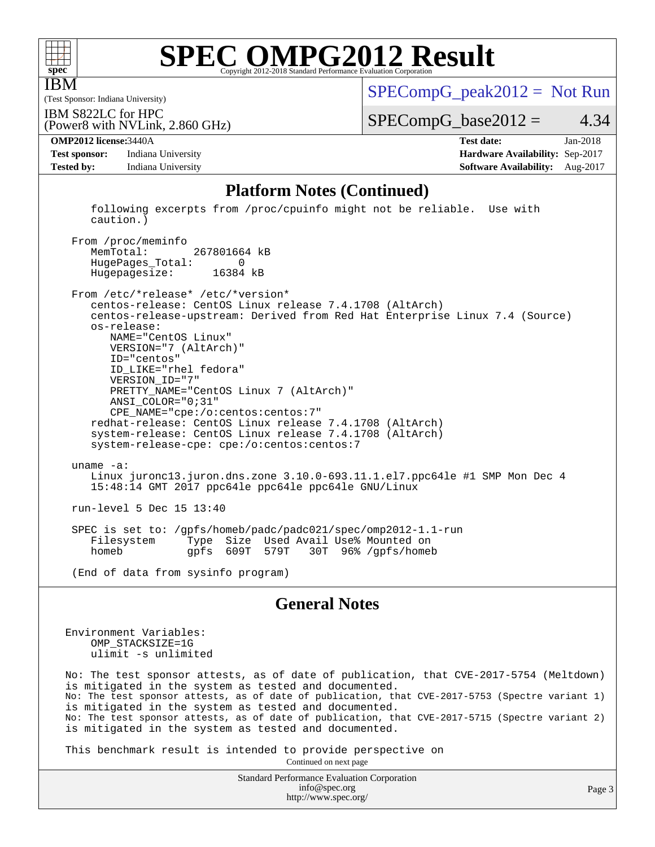

IBM

# **[SPEC OMPG2012 Result](http://www.spec.org/auto/omp2012/Docs/result-fields.html#SPECOMPG2012Result)**

(Test Sponsor: Indiana University) IBM S822LC for HPC

 $SPECompG_peak2012 = Not Run$  $SPECompG_peak2012 = Not Run$ 

 $SPECompG_base2012 = 4.34$  $SPECompG_base2012 = 4.34$ 

**[Test sponsor:](http://www.spec.org/auto/omp2012/Docs/result-fields.html#Testsponsor)** Indiana University **[Hardware Availability:](http://www.spec.org/auto/omp2012/Docs/result-fields.html#HardwareAvailability)** Sep-2017 **[Tested by:](http://www.spec.org/auto/omp2012/Docs/result-fields.html#Testedby)** Indiana University **[Software Availability:](http://www.spec.org/auto/omp2012/Docs/result-fields.html#SoftwareAvailability)** Aug-2017

(Power8 with NVLink, 2.860 GHz)

**[OMP2012 license:](http://www.spec.org/auto/omp2012/Docs/result-fields.html#OMP2012license)**3440A **[Test date:](http://www.spec.org/auto/omp2012/Docs/result-fields.html#Testdate)** Jan-2018

### **[Platform Notes \(Continued\)](http://www.spec.org/auto/omp2012/Docs/result-fields.html#PlatformNotes)**

 following excerpts from /proc/cpuinfo might not be reliable. Use with caution.)

From /proc/meminfo<br>MemTotal: 267801664 kB HugePages\_Total: 0 Hugepagesize: 16384 kB

 From /etc/\*release\* /etc/\*version\* centos-release: CentOS Linux release 7.4.1708 (AltArch) centos-release-upstream: Derived from Red Hat Enterprise Linux 7.4 (Source) os-release: NAME="CentOS Linux" VERSION="7 (AltArch)" ID="centos" ID\_LIKE="rhel fedora" VERSION\_ID="7" PRETTY\_NAME="CentOS Linux 7 (AltArch)" ANSI\_COLOR="0;31" CPE\_NAME="cpe:/o:centos:centos:7" redhat-release: CentOS Linux release 7.4.1708 (AltArch) system-release: CentOS Linux release 7.4.1708 (AltArch) system-release-cpe: cpe:/o:centos:centos:7 uname -a: Linux juronc13.juron.dns.zone 3.10.0-693.11.1.el7.ppc64le #1 SMP Mon Dec 4 15:48:14 GMT 2017 ppc64le ppc64le ppc64le GNU/Linux run-level 5 Dec 15 13:40 SPEC is set to: /gpfs/homeb/padc/padc021/spec/omp2012-1.1-run

Type Size Used Avail Use% Mounted on<br>gpfs 609T 579T 30T 96% /gpfs/homel homeb gpfs 609T 579T 30T 96% /gpfs/homeb

(End of data from sysinfo program)

### **[General Notes](http://www.spec.org/auto/omp2012/Docs/result-fields.html#GeneralNotes)**

Environment Variables: OMP\_STACKSIZE=1G ulimit -s unlimited

No: The test sponsor attests, as of date of publication, that CVE-2017-5754 (Meltdown) is mitigated in the system as tested and documented. No: The test sponsor attests, as of date of publication, that CVE-2017-5753 (Spectre variant 1) is mitigated in the system as tested and documented. No: The test sponsor attests, as of date of publication, that CVE-2017-5715 (Spectre variant 2) is mitigated in the system as tested and documented.

This benchmark result is intended to provide perspective on

Continued on next page

Standard Performance Evaluation Corporation [info@spec.org](mailto:info@spec.org) <http://www.spec.org/>

Page 3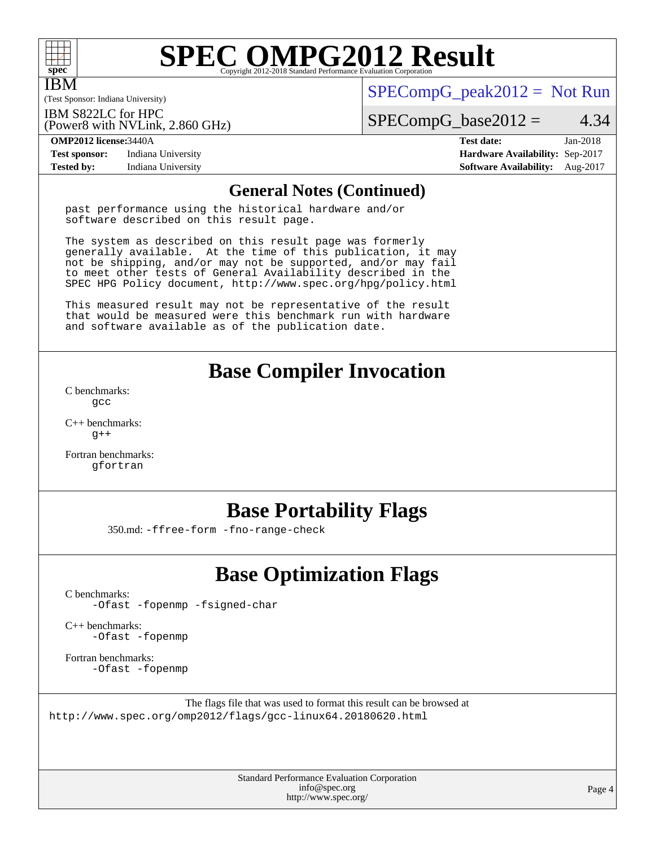

IBM

# **[SPEC OMPG2012 Result](http://www.spec.org/auto/omp2012/Docs/result-fields.html#SPECOMPG2012Result)**

(Test Sponsor: Indiana University)

 $SPECompG_peak2012 = Not Run$  $SPECompG_peak2012 = Not Run$ 

IBM S822LC for HPC

 $SPECompG_base2012 = 4.34$  $SPECompG_base2012 = 4.34$ 

**[Test sponsor:](http://www.spec.org/auto/omp2012/Docs/result-fields.html#Testsponsor)** Indiana University **[Hardware Availability:](http://www.spec.org/auto/omp2012/Docs/result-fields.html#HardwareAvailability)** Sep-2017 **[Tested by:](http://www.spec.org/auto/omp2012/Docs/result-fields.html#Testedby)** Indiana University **[Software Availability:](http://www.spec.org/auto/omp2012/Docs/result-fields.html#SoftwareAvailability)** Aug-2017

(Power8 with NVLink, 2.860 GHz)

**[OMP2012 license:](http://www.spec.org/auto/omp2012/Docs/result-fields.html#OMP2012license)**3440A **[Test date:](http://www.spec.org/auto/omp2012/Docs/result-fields.html#Testdate)** Jan-2018

### **[General Notes \(Continued\)](http://www.spec.org/auto/omp2012/Docs/result-fields.html#GeneralNotes)**

past performance using the historical hardware and/or software described on this result page.

The system as described on this result page was formerly generally available. At the time of this publication, it may not be shipping, and/or may not be supported, and/or may fail to meet other tests of General Availability described in the SPEC HPG Policy document, <http://www.spec.org/hpg/policy.html>

This measured result may not be representative of the result that would be measured were this benchmark run with hardware and software available as of the publication date.

# **[Base Compiler Invocation](http://www.spec.org/auto/omp2012/Docs/result-fields.html#BaseCompilerInvocation)**

[C benchmarks](http://www.spec.org/auto/omp2012/Docs/result-fields.html#Cbenchmarks): [gcc](http://www.spec.org/omp2012/results/res2018q2/omp2012-20180313-00141.flags.html#user_CCbase_gcc_e0d511356bd44120af49cc96c9dcf3b3)

[C++ benchmarks:](http://www.spec.org/auto/omp2012/Docs/result-fields.html#CXXbenchmarks)  $q++$ 

[Fortran benchmarks](http://www.spec.org/auto/omp2012/Docs/result-fields.html#Fortranbenchmarks): [gfortran](http://www.spec.org/omp2012/results/res2018q2/omp2012-20180313-00141.flags.html#user_FCbase_gfortran_a303edaa4a81c8aab35b1bda5c9ef7ba)

# **[Base Portability Flags](http://www.spec.org/auto/omp2012/Docs/result-fields.html#BasePortabilityFlags)**

350.md: [-ffree-form](http://www.spec.org/omp2012/results/res2018q2/omp2012-20180313-00141.flags.html#user_baseFPORTABILITY350_md_f-ffree-form) [-fno-range-check](http://www.spec.org/omp2012/results/res2018q2/omp2012-20180313-00141.flags.html#user_baseFPORTABILITY350_md_f-fno-range-check)

# **[Base Optimization Flags](http://www.spec.org/auto/omp2012/Docs/result-fields.html#BaseOptimizationFlags)**

[C benchmarks](http://www.spec.org/auto/omp2012/Docs/result-fields.html#Cbenchmarks):

[-Ofast](http://www.spec.org/omp2012/results/res2018q2/omp2012-20180313-00141.flags.html#user_CCbase_f-Ofast) [-fopenmp](http://www.spec.org/omp2012/results/res2018q2/omp2012-20180313-00141.flags.html#user_CCbase_f-fopenmp) [-fsigned-char](http://www.spec.org/omp2012/results/res2018q2/omp2012-20180313-00141.flags.html#user_CCbase_f-signed-char_ea072296ce3abda7ab095741e7c36064)

[C++ benchmarks:](http://www.spec.org/auto/omp2012/Docs/result-fields.html#CXXbenchmarks) [-Ofast](http://www.spec.org/omp2012/results/res2018q2/omp2012-20180313-00141.flags.html#user_CXXbase_f-Ofast) [-fopenmp](http://www.spec.org/omp2012/results/res2018q2/omp2012-20180313-00141.flags.html#user_CXXbase_f-fopenmp)

[Fortran benchmarks](http://www.spec.org/auto/omp2012/Docs/result-fields.html#Fortranbenchmarks): [-Ofast](http://www.spec.org/omp2012/results/res2018q2/omp2012-20180313-00141.flags.html#user_FCbase_f-Ofast) [-fopenmp](http://www.spec.org/omp2012/results/res2018q2/omp2012-20180313-00141.flags.html#user_FCbase_f-fopenmp)

The flags file that was used to format this result can be browsed at <http://www.spec.org/omp2012/flags/gcc-linux64.20180620.html>

> Standard Performance Evaluation Corporation [info@spec.org](mailto:info@spec.org) <http://www.spec.org/>